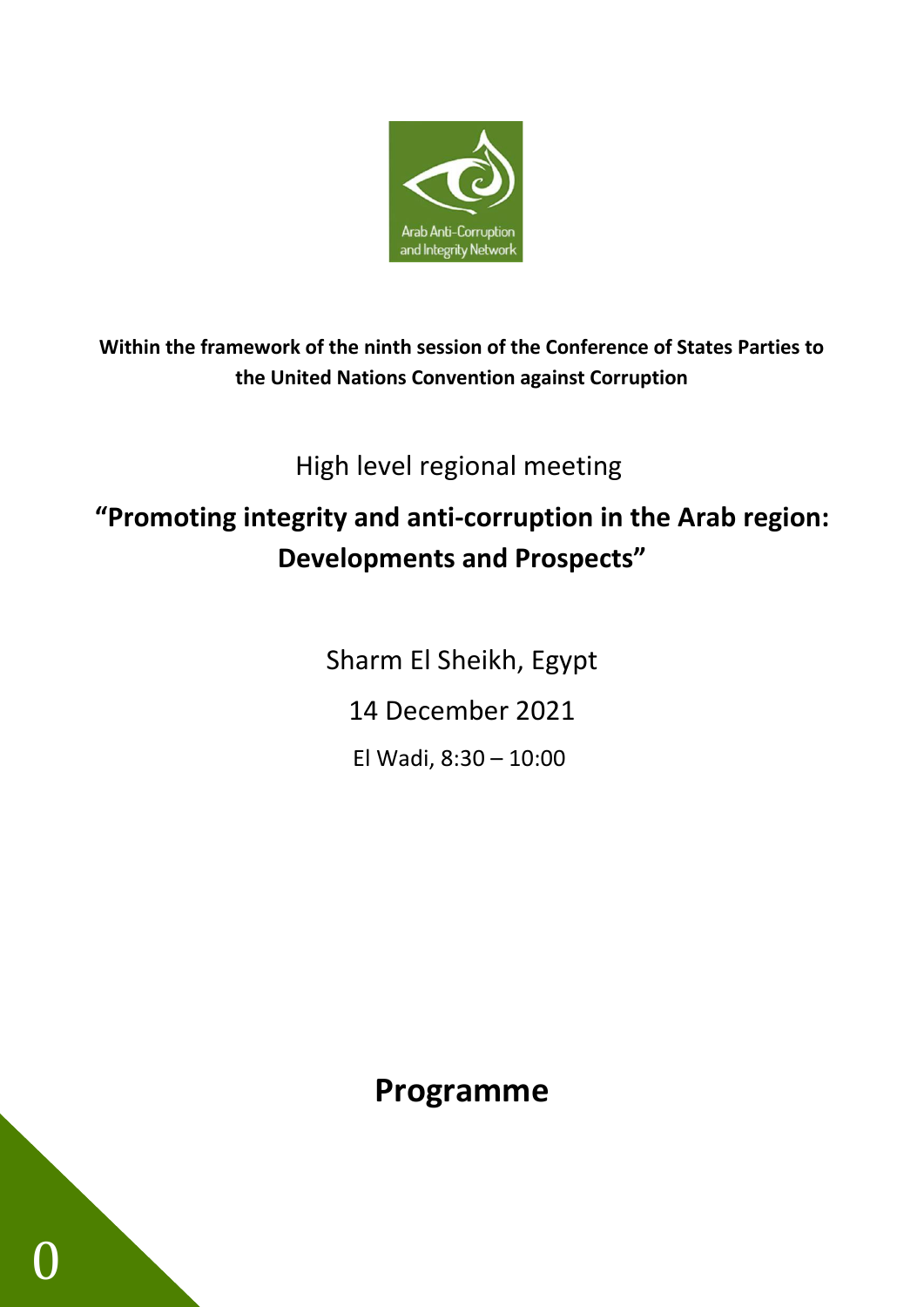

**Within the framework of the ninth session of the Conference of States Parties to the United Nations Convention against Corruption**

High level regional meeting

# **"Promoting integrity and anti-corruption in the Arab region: Developments and Prospects"**

Sharm El Sheikh, Egypt 14 December 2021 El Wadi, 8:30 – 10:00

**Programme**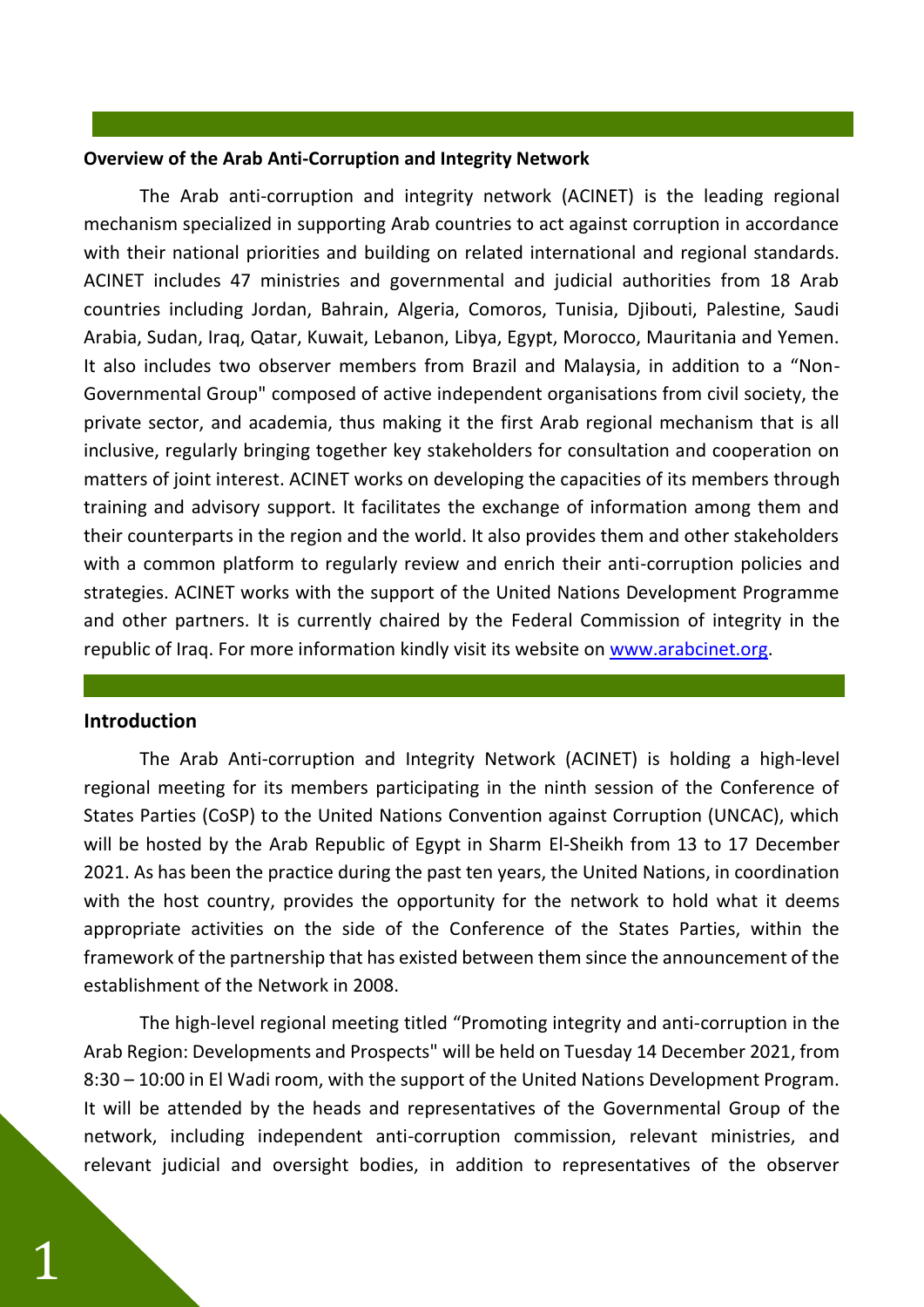### **Overview of the Arab Anti-Corruption and Integrity Network**

The Arab anti-corruption and integrity network (ACINET) is the leading regional mechanism specialized in supporting Arab countries to act against corruption in accordance with their national priorities and building on related international and regional standards. ACINET includes 47 ministries and governmental and judicial authorities from 18 Arab countries including Jordan, Bahrain, Algeria, Comoros, Tunisia, Djibouti, Palestine, Saudi Arabia, Sudan, Iraq, Qatar, Kuwait, Lebanon, Libya, Egypt, Morocco, Mauritania and Yemen. It also includes two observer members from Brazil and Malaysia, in addition to a "Non-Governmental Group" composed of active independent organisations from civil society, the private sector, and academia, thus making it the first Arab regional mechanism that is all inclusive, regularly bringing together key stakeholders for consultation and cooperation on matters of joint interest. ACINET works on developing the capacities of its members through training and advisory support. It facilitates the exchange of information among them and their counterparts in the region and the world. It also provides them and other stakeholders with a common platform to regularly review and enrich their anti-corruption policies and strategies. ACINET works with the support of the United Nations Development Programme and other partners. It is currently chaired by the Federal Commission of integrity in the republic of Iraq. For more information kindly visit its website on [www.arabcinet.org.](http://www.arabcinet.org/)

### **Introduction**

The Arab Anti-corruption and Integrity Network (ACINET) is holding a high-level regional meeting for its members participating in the ninth session of the Conference of States Parties (CoSP) to the United Nations Convention against Corruption (UNCAC), which will be hosted by the Arab Republic of Egypt in Sharm El-Sheikh from 13 to 17 December 2021. As has been the practice during the past ten years, the United Nations, in coordination with the host country, provides the opportunity for the network to hold what it deems appropriate activities on the side of the Conference of the States Parties, within the framework of the partnership that has existed between them since the announcement of the establishment of the Network in 2008.

The high-level regional meeting titled "Promoting integrity and anti-corruption in the Arab Region: Developments and Prospects" will be held on Tuesday 14 December 2021, from 8:30 – 10:00 in El Wadi room, with the support of the United Nations Development Program. It will be attended by the heads and representatives of the Governmental Group of the network, including independent anti-corruption commission, relevant ministries, and relevant judicial and oversight bodies, in addition to representatives of the observer